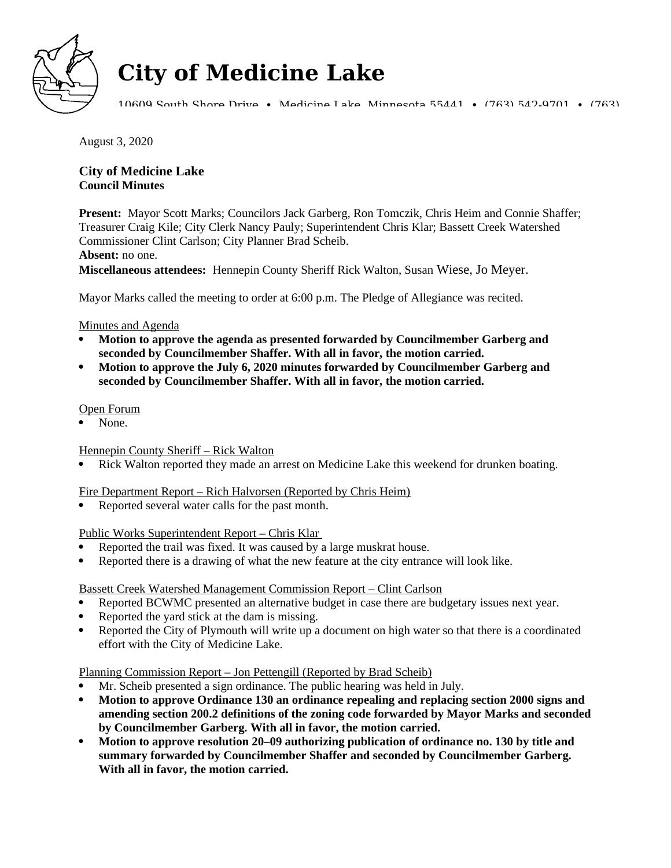

# **City of Medicine Lake**

10609 South Shore Drive • Medicine Lake, Minnesota 55441 • (763) 542-9701 • (763)

August 3, 2020

# **City of Medicine Lake Council Minutes**

**Present:** Mayor Scott Marks; Councilors Jack Garberg, Ron Tomczik, Chris Heim and Connie Shaffer; Treasurer Craig Kile; City Clerk Nancy Pauly; Superintendent Chris Klar; Bassett Creek Watershed Commissioner Clint Carlson; City Planner Brad Scheib.

## **Absent:** no one.

**Miscellaneous attendees:** Hennepin County Sheriff Rick Walton, Susan Wiese, Jo Meyer.

Mayor Marks called the meeting to order at 6:00 p.m. The Pledge of Allegiance was recited.

## Minutes and Agenda

- **Motion to approve the agenda as presented forwarded by Councilmember Garberg and seconded by Councilmember Shaffer. With all in favor, the motion carried.**
- **Motion to approve the July 6, 2020 minutes forwarded by Councilmember Garberg and seconded by Councilmember Shaffer. With all in favor, the motion carried.**

#### Open Forum

None.

## Hennepin County Sheriff – Rick Walton

Rick Walton reported they made an arrest on Medicine Lake this weekend for drunken boating.

## Fire Department Report – Rich Halvorsen (Reported by Chris Heim)

Reported several water calls for the past month.

#### Public Works Superintendent Report – Chris Klar

- Reported the trail was fixed. It was caused by a large muskrat house.
- Reported there is a drawing of what the new feature at the city entrance will look like.

#### Bassett Creek Watershed Management Commission Report – Clint Carlson

- Reported BCWMC presented an alternative budget in case there are budgetary issues next year.
- Reported the yard stick at the dam is missing.
- Reported the City of Plymouth will write up a document on high water so that there is a coordinated effort with the City of Medicine Lake.

## Planning Commission Report – Jon Pettengill (Reported by Brad Scheib)

- Mr. Scheib presented a sign ordinance. The public hearing was held in July.
- **Motion to approve Ordinance 130 an ordinance repealing and replacing section 2000 signs and amending section 200.2 definitions of the zoning code forwarded by Mayor Marks and seconded by Councilmember Garberg. With all in favor, the motion carried.**
- **Motion to approve resolution 20–09 authorizing publication of ordinance no. 130 by title and summary forwarded by Councilmember Shaffer and seconded by Councilmember Garberg. With all in favor, the motion carried.**